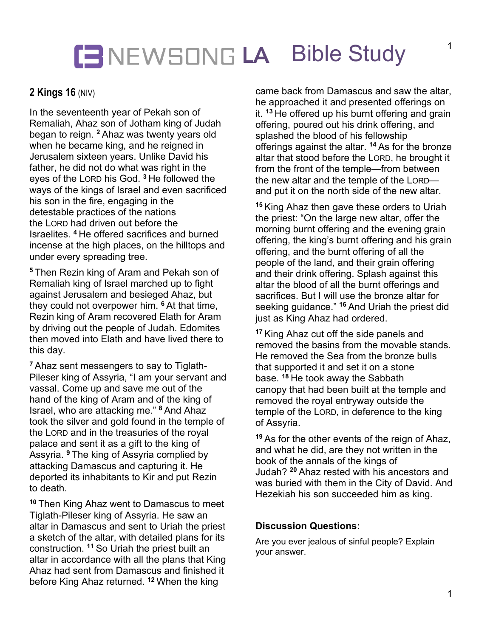## **LA** Bible Study

### **2 Kings 16** (NIV)

In the seventeenth year of Pekah son of Remaliah, Ahaz son of Jotham king of Judah began to reign. **<sup>2</sup>** Ahaz was twenty years old when he became king, and he reigned in Jerusalem sixteen years. Unlike David his father, he did not do what was right in the eyes of the LORD his God. **<sup>3</sup>** He followed the ways of the kings of Israel and even sacrificed his son in the fire, engaging in the detestable practices of the nations the LORD had driven out before the Israelites. **<sup>4</sup>** He offered sacrifices and burned incense at the high places, on the hilltops and under every spreading tree.

**<sup>5</sup>** Then Rezin king of Aram and Pekah son of Remaliah king of Israel marched up to fight against Jerusalem and besieged Ahaz, but they could not overpower him. **<sup>6</sup>** At that time, Rezin king of Aram recovered Elath for Aram by driving out the people of Judah. Edomites then moved into Elath and have lived there to this day.

**<sup>7</sup>** Ahaz sent messengers to say to Tiglath-Pileser king of Assyria, "I am your servant and vassal. Come up and save me out of the hand of the king of Aram and of the king of Israel, who are attacking me." **<sup>8</sup>** And Ahaz took the silver and gold found in the temple of the LORD and in the treasuries of the royal palace and sent it as a gift to the king of Assyria. **<sup>9</sup>** The king of Assyria complied by attacking Damascus and capturing it. He deported its inhabitants to Kir and put Rezin to death.

**<sup>10</sup>** Then King Ahaz went to Damascus to meet Tiglath-Pileser king of Assyria. He saw an altar in Damascus and sent to Uriah the priest a sketch of the altar, with detailed plans for its construction. **<sup>11</sup>** So Uriah the priest built an altar in accordance with all the plans that King Ahaz had sent from Damascus and finished it before King Ahaz returned. **<sup>12</sup>** When the king

came back from Damascus and saw the altar, he approached it and presented offerings on it. **<sup>13</sup>** He offered up his burnt offering and grain offering, poured out his drink offering, and splashed the blood of his fellowship offerings against the altar. **<sup>14</sup>** As for the bronze altar that stood before the LORD, he brought it from the front of the temple—from between the new altar and the temple of the LORD and put it on the north side of the new altar.

**<sup>15</sup>** King Ahaz then gave these orders to Uriah the priest: "On the large new altar, offer the morning burnt offering and the evening grain offering, the king's burnt offering and his grain offering, and the burnt offering of all the people of the land, and their grain offering and their drink offering. Splash against this altar the blood of all the burnt offerings and sacrifices. But I will use the bronze altar for seeking guidance." **<sup>16</sup>** And Uriah the priest did just as King Ahaz had ordered.

**<sup>17</sup>** King Ahaz cut off the side panels and removed the basins from the movable stands. He removed the Sea from the bronze bulls that supported it and set it on a stone base. **<sup>18</sup>** He took away the Sabbath canopy that had been built at the temple and removed the royal entryway outside the temple of the LORD, in deference to the king of Assyria.

**<sup>19</sup>** As for the other events of the reign of Ahaz, and what he did, are they not written in the book of the annals of the kings of Judah? **<sup>20</sup>** Ahaz rested with his ancestors and was buried with them in the City of David. And Hezekiah his son succeeded him as king.

#### **Discussion Questions:**

Are you ever jealous of sinful people? Explain your answer.